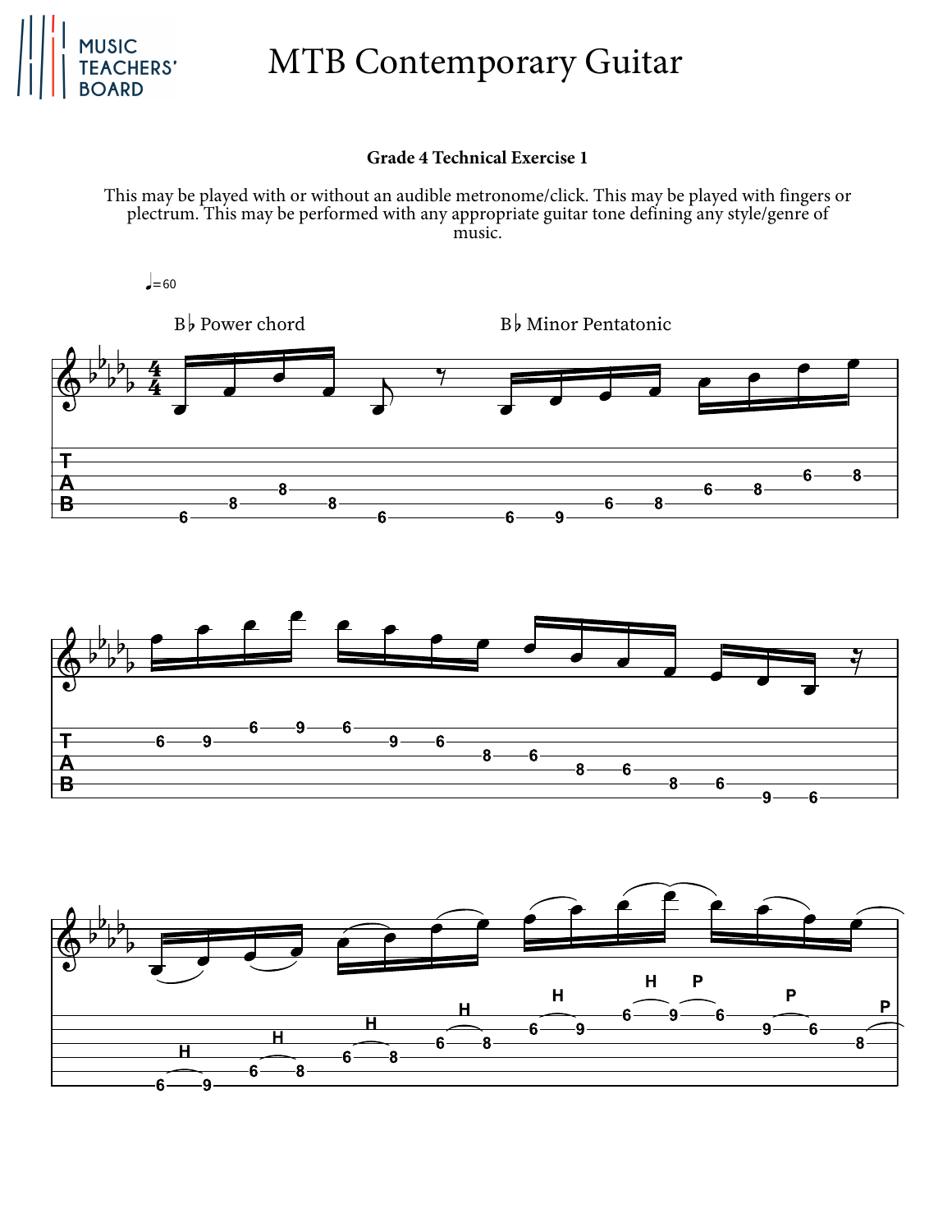

## MTB Contemporary Guitar

## **Grade 4 Technical Exercise 1**

This may be played with or without an audible metronome/click. This may be played with fingers or plectrum. This may be performed with any appropriate guitar tone defining any style/genre of music.

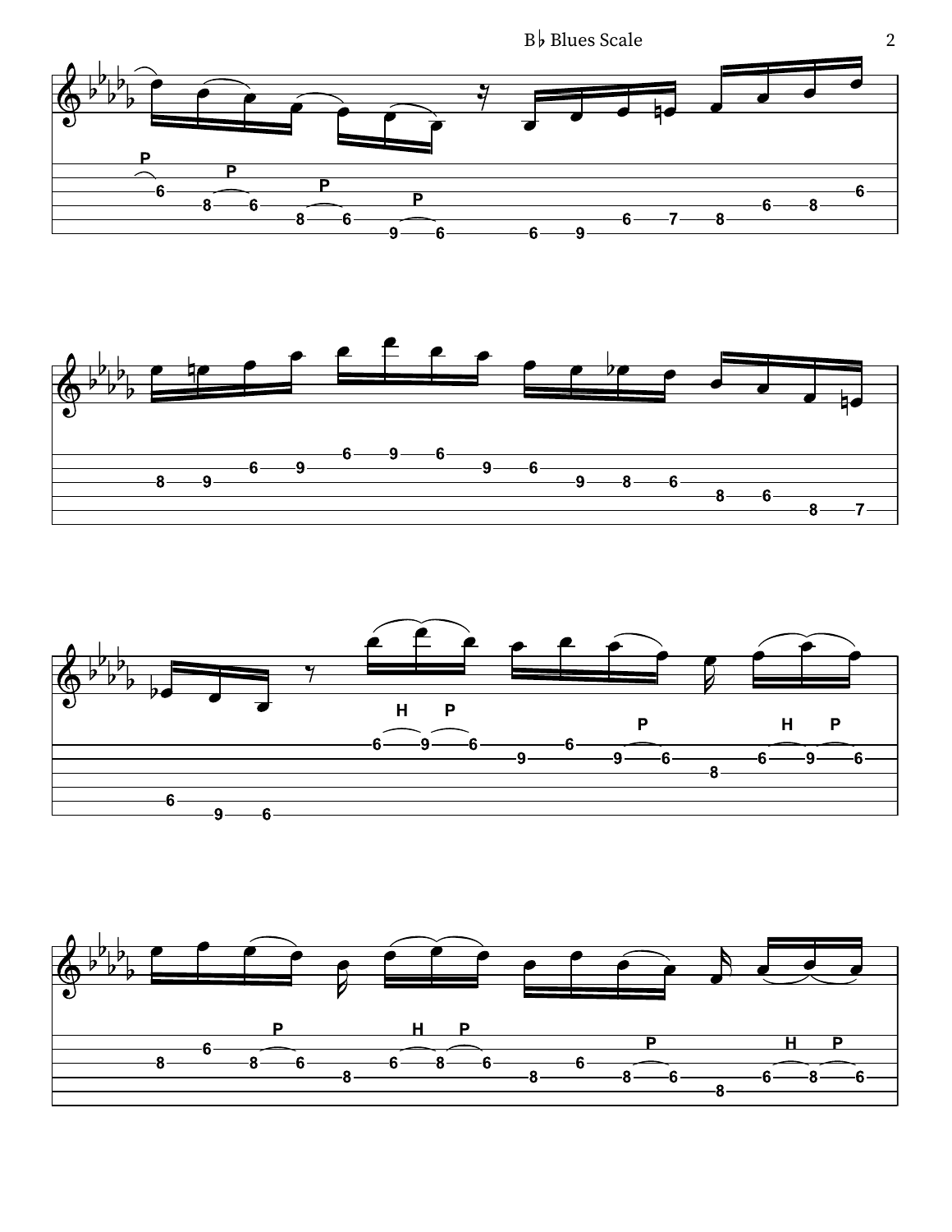





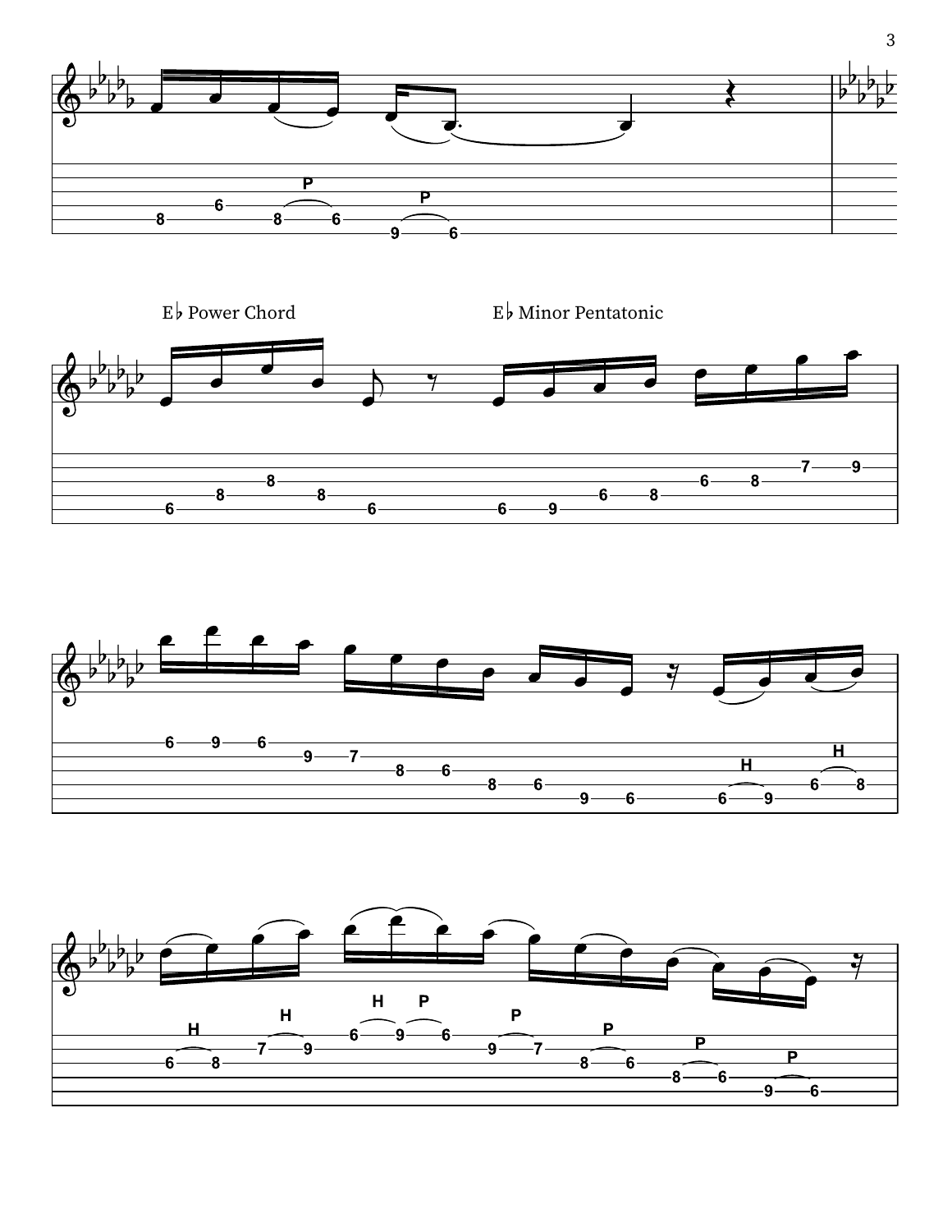





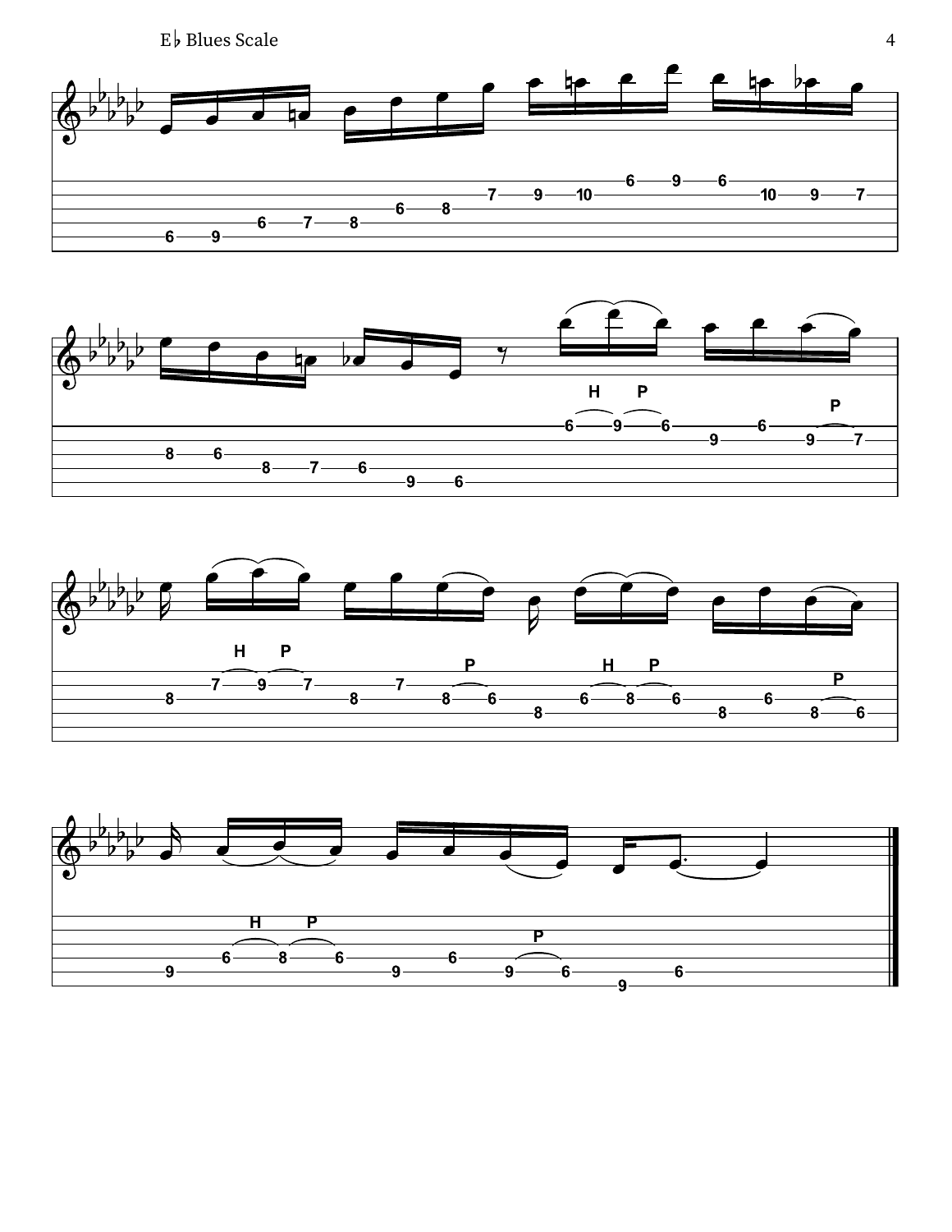$E_b$  Blues Scale 4







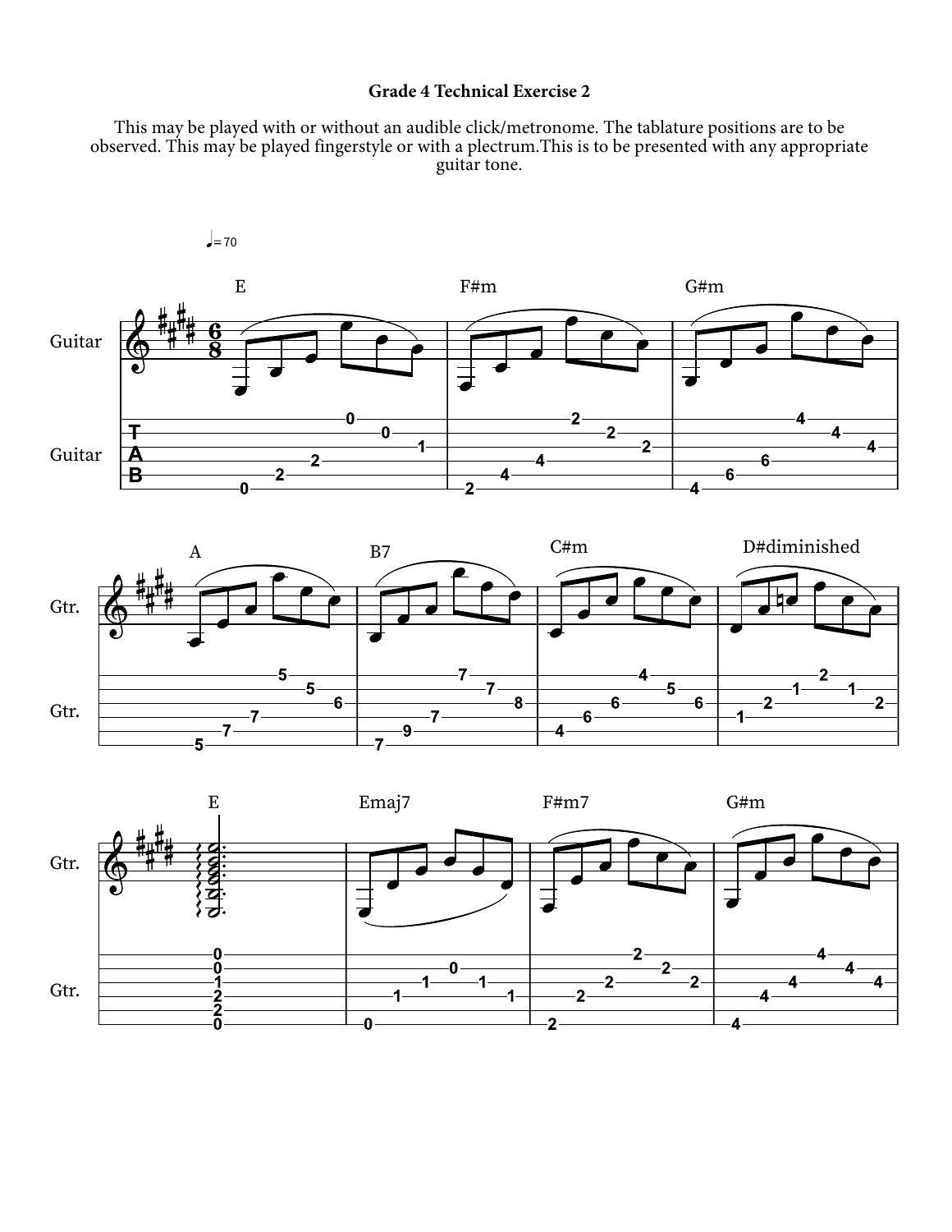## **Grade 4 Technical Exercise 2**

This may be played with or without an audible click/metronome. The tablature positions are to be observed. This may be played fingerstyle or with a plectrum.This is to be presented with any appropriate guitar tone.





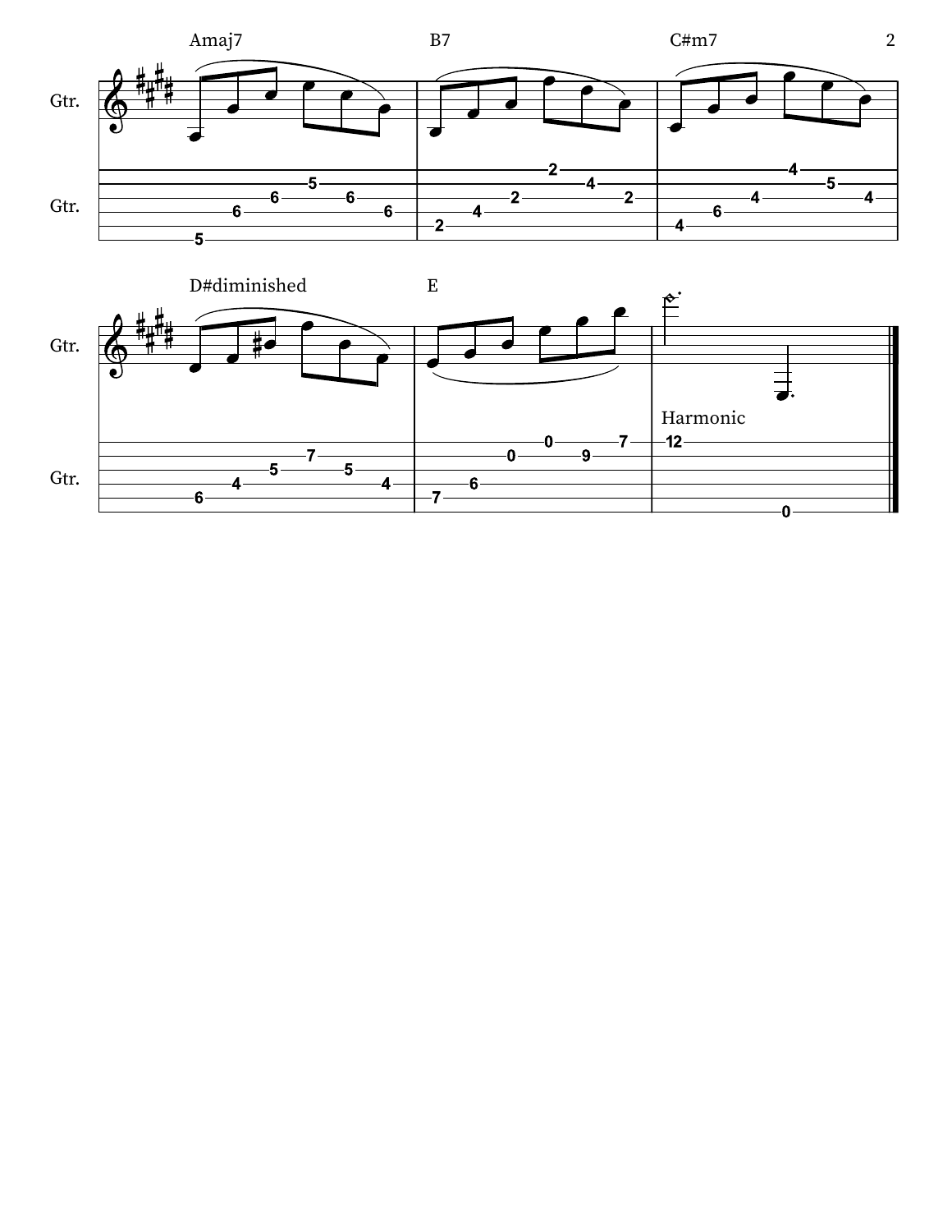

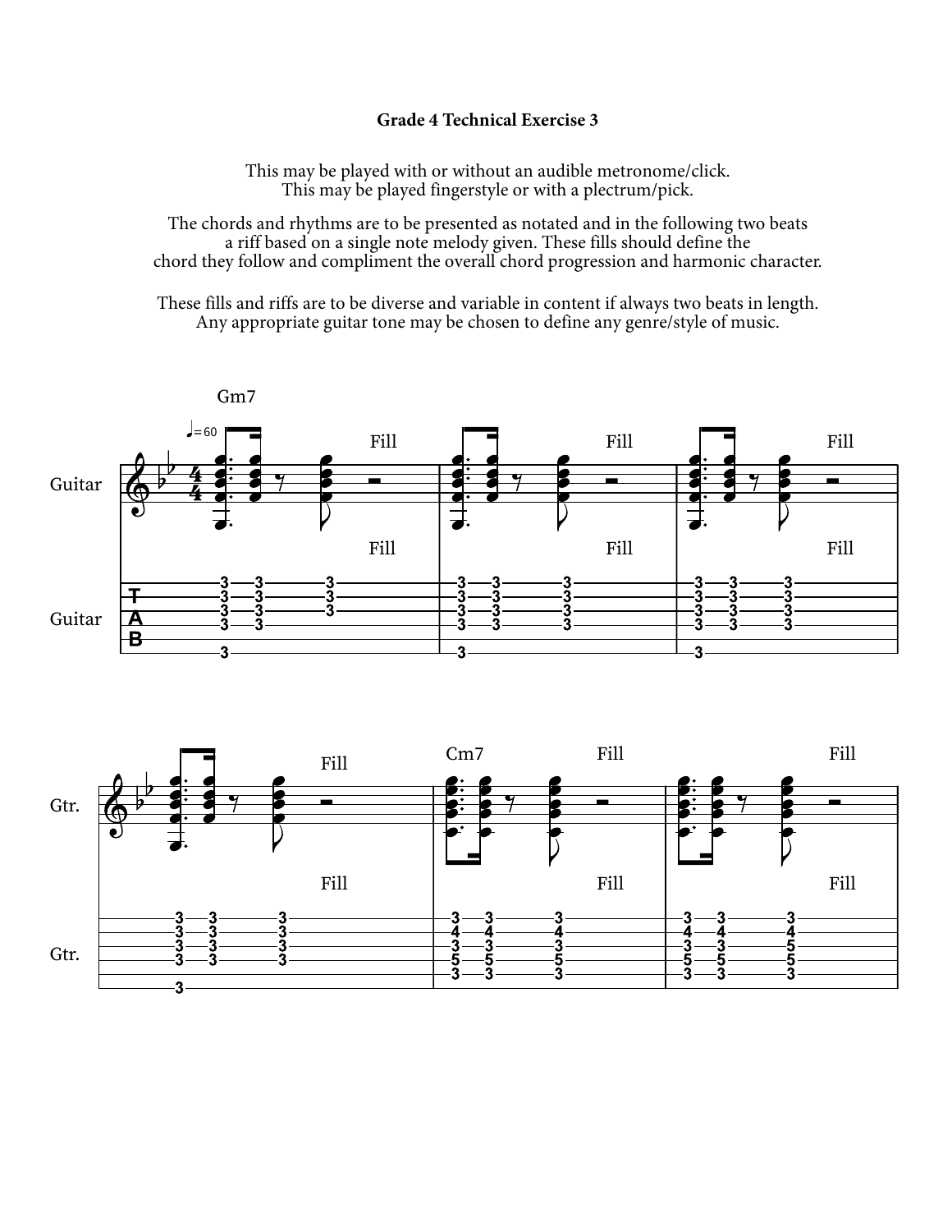## **Grade 4 Technical Exercise 3**

This may be played with or without an audible metronome/click. This may be played fingerstyle or with a plectrum/pick.

The chords and rhythms are to be presented as notated and in the following two beats a riff based on a single note melody given. These fills should define the chord they follow and compliment the overall chord progression and harmonic character.

These fills and riffs are to be diverse and variable in content if always two beats in length. Any appropriate guitar tone may be chosen to define any genre/style of music.

![](_page_6_Figure_4.jpeg)

![](_page_6_Figure_5.jpeg)